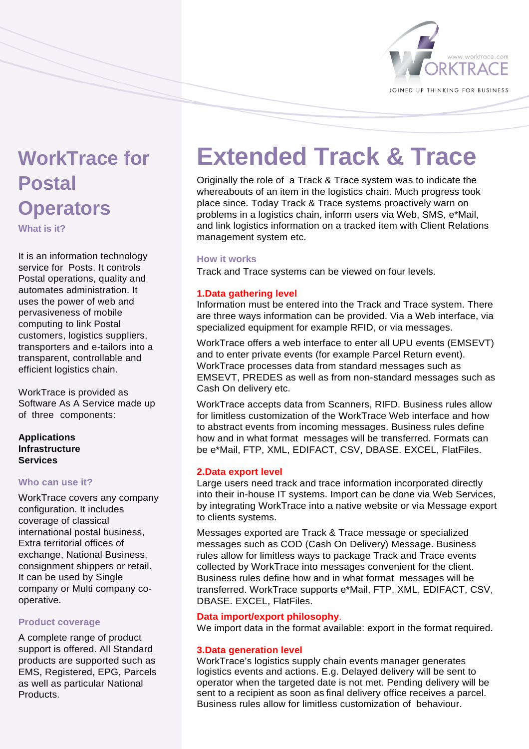

# **WorkTrace for Postal Operators**

**What is it?** 

It is an information technology service for Posts. It controls Postal operations, quality and automates administration. It uses the power of web and pervasiveness of mobile computing to link Postal customers, logistics suppliers, transporters and e-tailors into a transparent, controllable and efficient logistics chain.

WorkTrace is provided as Software As A Service made up of three components:

# **Applications Infrastructure Services**

# **Who can use it?**

WorkTrace covers any company configuration. It includes coverage of classical international postal business, Extra territorial offices of exchange, National Business, consignment shippers or retail. It can be used by Single company or Multi company cooperative.

# **Product coverage**

A complete range of product support is offered. All Standard products are supported such as EMS, Registered, EPG, Parcels as well as particular National **Products** 

# **Extended Track & Trace**

Originally the role of a Track & Trace system was to indicate the whereabouts of an item in the logistics chain. Much progress took place since. Today Track & Trace systems proactively warn on problems in a logistics chain, inform users via Web, SMS, e\*Mail, and link logistics information on a tracked item with Client Relations management system etc.

# **How it works**

Track and Trace systems can be viewed on four levels.

# **1.Data gathering level**

Information must be entered into the Track and Trace system. There are three ways information can be provided. Via a Web interface, via specialized equipment for example RFID, or via messages.

WorkTrace offers a web interface to enter all UPU events (EMSEVT) and to enter private events (for example Parcel Return event). WorkTrace processes data from standard messages such as EMSEVT, PREDES as well as from non-standard messages such as Cash On delivery etc.

WorkTrace accepts data from Scanners, RIFD. Business rules allow for limitless customization of the WorkTrace Web interface and how to abstract events from incoming messages. Business rules define how and in what format messages will be transferred. Formats can be e\*Mail, FTP, XML, EDIFACT, CSV, DBASE. EXCEL, FlatFiles.

# **2.Data export level**

Large users need track and trace information incorporated directly into their in-house IT systems. Import can be done via Web Services, by integrating WorkTrace into a native website or via Message export to clients systems.

Messages exported are Track & Trace message or specialized messages such as COD (Cash On Delivery) Message. Business rules allow for limitless ways to package Track and Trace events collected by WorkTrace into messages convenient for the client. Business rules define how and in what format messages will be transferred. WorkTrace supports e\*Mail, FTP, XML, EDIFACT, CSV, DBASE. EXCEL, FlatFiles.

# **Data import/export philosophy**.

We import data in the format available: export in the format required.

# **3.Data generation level**

WorkTrace's logistics supply chain events manager generates logistics events and actions. E.g. Delayed delivery will be sent to operator when the targeted date is not met. Pending delivery will be sent to a recipient as soon as final delivery office receives a parcel. Business rules allow for limitless customization of behaviour.